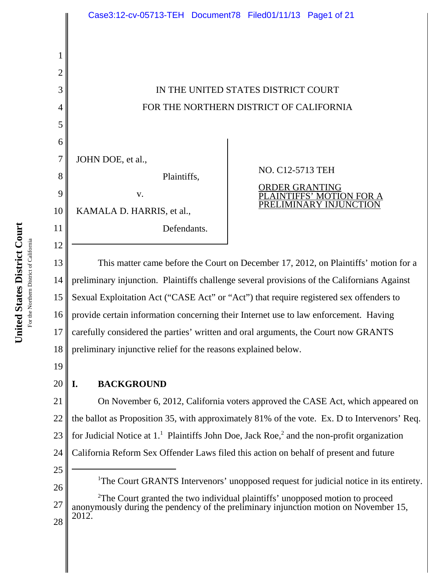# IN THE UNITED STATES DISTRICT COURT FOR THE NORTHERN DISTRICT OF CALIFORNIA

JOHN DOE, et al.,

v.

KAMALA D. HARRIS, et al.,

Plaintiffs,

Defendants.

NO. C12-5713 TEH ORDER GRANTING PLAINTIFFS' MOTION FOR PRELIMINARY INJUNCT

13 14 15 16 17 18 This matter came before the Court on December 17, 2012, on Plaintiffs' motion for a preliminary injunction. Plaintiffs challenge several provisions of the Californians Against Sexual Exploitation Act ("CASE Act" or "Act") that require registered sex offenders to provide certain information concerning their Internet use to law enforcement. Having carefully considered the parties' written and oral arguments, the Court now GRANTS preliminary injunctive relief for the reasons explained below.

19

20

1

2

3

4

5

6

7

8

9

10

11

12

# **I. BACKGROUND**

21 22 23 24 On November 6, 2012, California voters approved the CASE Act, which appeared on the ballot as Proposition 35, with approximately 81% of the vote. Ex. D to Intervenors' Req. for Judicial Notice at  $1<sup>1</sup>$  Plaintiffs John Doe, Jack Roe,<sup>2</sup> and the non-profit organization California Reform Sex Offender Laws filed this action on behalf of present and future

25 26

<sup>1</sup>The Court GRANTS Intervenors' unopposed request for judicial notice in its entirety.

27 28 <sup>2</sup>The Court granted the two individual plaintiffs' unopposed motion to proceed anonymously during the pendency of the preliminary injunction motion on November 15, 2012.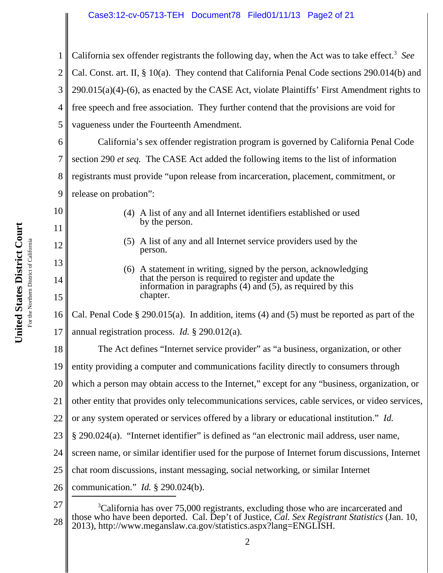### Case3:12-cv-05713-TEH Document78 Filed01/11/13 Page2 of 21

1 2 3 4 5 6 7 8 9 10 11 12 13 14 15 16 17 18 19 20 21 22 23 24 25 26 27 <sup>3</sup>California has over 75,000 registrants, excluding those who are incarcerated and those who have been deported. Cal. Dep't of Justice, *Cal. Sex Registrant Statistics* (Jan. 10, California sex offender registrants the following day, when the Act was to take effect.<sup>3</sup> See Cal. Const. art. II, § 10(a). They contend that California Penal Code sections 290.014(b) and 290.015(a)(4)-(6), as enacted by the CASE Act, violate Plaintiffs' First Amendment rights to free speech and free association. They further contend that the provisions are void for vagueness under the Fourteenth Amendment. California's sex offender registration program is governed by California Penal Code section 290 *et seq.* The CASE Act added the following items to the list of information registrants must provide "upon release from incarceration, placement, commitment, or release on probation": (4) A list of any and all Internet identifiers established or used by the person. (5) A list of any and all Internet service providers used by the person. (6) A statement in writing, signed by the person, acknowledging that the person is required to register and update the information in paragraphs (4) and (5), as required by this chapter. Cal. Penal Code § 290.015(a). In addition, items (4) and (5) must be reported as part of the annual registration process. *Id.* § 290.012(a). The Act defines "Internet service provider" as "a business, organization, or other entity providing a computer and communications facility directly to consumers through which a person may obtain access to the Internet," except for any "business, organization, or other entity that provides only telecommunications services, cable services, or video services, or any system operated or services offered by a library or educational institution." *Id.* § 290.024(a). "Internet identifier" is defined as "an electronic mail address, user name, screen name, or similar identifier used for the purpose of Internet forum discussions, Internet chat room discussions, instant messaging, social networking, or similar Internet communication." *Id.* § 290.024(b).

28

2013), http://www.meganslaw.ca.gov/statistics.aspx?lang=ENGLISH.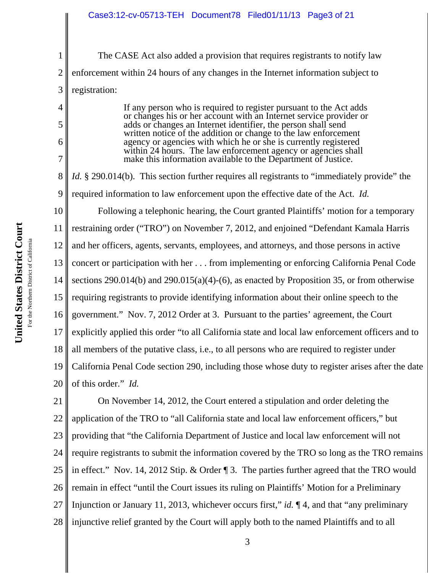The CASE Act also added a provision that requires registrants to notify law enforcement within 24 hours of any changes in the Internet information subject to registration:

> If any person who is required to register pursuant to the Act adds or changes his or her account with an Internet service provider or adds or changes an Internet identifier, the person shall send written notice of the addition or change to the law enforcement agency or agencies with which he or she is currently registered within 24 hours. The law enforcement agency or agencies shall make this information available to the Department of Justice.

7 8 9 10 11 12 13 14 15 16 17 18 19 20 *Id.* § 290.014(b). This section further requires all registrants to "immediately provide" the required information to law enforcement upon the effective date of the Act. *Id.* Following a telephonic hearing, the Court granted Plaintiffs' motion for a temporary restraining order ("TRO") on November 7, 2012, and enjoined "Defendant Kamala Harris and her officers, agents, servants, employees, and attorneys, and those persons in active concert or participation with her . . . from implementing or enforcing California Penal Code sections 290.014(b) and 290.015(a)(4)-(6), as enacted by Proposition 35, or from otherwise requiring registrants to provide identifying information about their online speech to the government." Nov. 7, 2012 Order at 3. Pursuant to the parties' agreement, the Court explicitly applied this order "to all California state and local law enforcement officers and to all members of the putative class, i.e., to all persons who are required to register under California Penal Code section 290, including those whose duty to register arises after the date of this order." *Id.*

21 22 23 24 25 26 27 28 On November 14, 2012, the Court entered a stipulation and order deleting the application of the TRO to "all California state and local law enforcement officers," but providing that "the California Department of Justice and local law enforcement will not require registrants to submit the information covered by the TRO so long as the TRO remains in effect." Nov. 14, 2012 Stip. & Order ¶ 3. The parties further agreed that the TRO would remain in effect "until the Court issues its ruling on Plaintiffs' Motion for a Preliminary Injunction or January 11, 2013, whichever occurs first," *id.* ¶ 4, and that "any preliminary injunctive relief granted by the Court will apply both to the named Plaintiffs and to all

1

2

3

4

5

6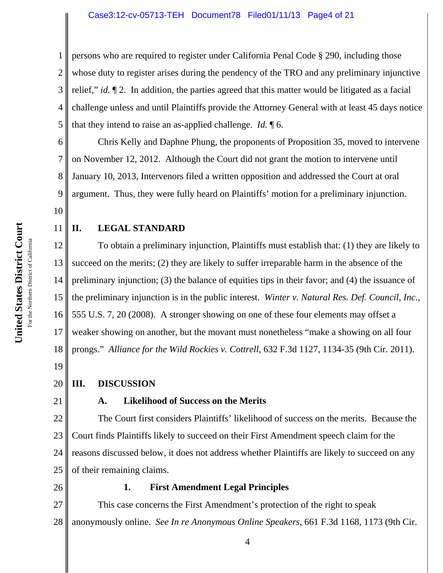1 2 3 4 5 persons who are required to register under California Penal Code § 290, including those whose duty to register arises during the pendency of the TRO and any preliminary injunctive relief," *id.* ¶ 2. In addition, the parties agreed that this matter would be litigated as a facial challenge unless and until Plaintiffs provide the Attorney General with at least 45 days notice that they intend to raise an as-applied challenge. *Id.* ¶ 6.

6 7 8 9 Chris Kelly and Daphne Phung, the proponents of Proposition 35, moved to intervene on November 12, 2012. Although the Court did not grant the motion to intervene until January 10, 2013, Intervenors filed a written opposition and addressed the Court at oral argument. Thus, they were fully heard on Plaintiffs' motion for a preliminary injunction.

## **II. LEGAL STANDARD**

12 13 14 15 16 17 18 To obtain a preliminary injunction, Plaintiffs must establish that: (1) they are likely to succeed on the merits; (2) they are likely to suffer irreparable harm in the absence of the preliminary injunction; (3) the balance of equities tips in their favor; and (4) the issuance of the preliminary injunction is in the public interest. *Winter v. Natural Res. Def. Council*, *Inc*., 555 U.S. 7, 20 (2008). A stronger showing on one of these four elements may offset a weaker showing on another, but the movant must nonetheless "make a showing on all four prongs." *Alliance for the Wild Rockies v. Cottrell*, 632 F.3d 1127, 1134-35 (9th Cir. 2011).

19

10

11

#### 20 **III. DISCUSSION**

21

## **A. Likelihood of Success on the Merits**

22 23 24 25 The Court first considers Plaintiffs' likelihood of success on the merits. Because the Court finds Plaintiffs likely to succeed on their First Amendment speech claim for the reasons discussed below, it does not address whether Plaintiffs are likely to succeed on any of their remaining claims.

26

## **1. First Amendment Legal Principles**

27 28 This case concerns the First Amendment's protection of the right to speak anonymously online. *See In re Anonymous Online Speakers*, 661 F.3d 1168, 1173 (9th Cir.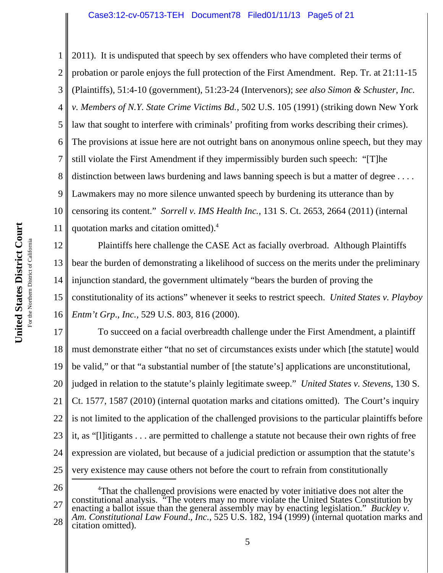1 2 3 4 5 6 7 8 9 10 11 2011). It is undisputed that speech by sex offenders who have completed their terms of probation or parole enjoys the full protection of the First Amendment. Rep. Tr. at 21:11-15 (Plaintiffs), 51:4-10 (government), 51:23-24 (Intervenors); *see also Simon & Schuster*, *Inc. v. Members of N.Y. State Crime Victims Bd.*, 502 U.S. 105 (1991) (striking down New York law that sought to interfere with criminals' profiting from works describing their crimes). The provisions at issue here are not outright bans on anonymous online speech, but they may still violate the First Amendment if they impermissibly burden such speech: "[T]he distinction between laws burdening and laws banning speech is but a matter of degree .... Lawmakers may no more silence unwanted speech by burdening its utterance than by censoring its content." *Sorrell v. IMS Health Inc.*, 131 S. Ct. 2653, 2664 (2011) (internal quotation marks and citation omitted).4

12 13 14 15 16 Plaintiffs here challenge the CASE Act as facially overbroad. Although Plaintiffs bear the burden of demonstrating a likelihood of success on the merits under the preliminary injunction standard, the government ultimately "bears the burden of proving the constitutionality of its actions" whenever it seeks to restrict speech. *United States v. Playboy Entm't Grp*., *Inc.*, 529 U.S. 803, 816 (2000).

17 18 19 20 21 22 23 24 25 To succeed on a facial overbreadth challenge under the First Amendment, a plaintiff must demonstrate either "that no set of circumstances exists under which [the statute] would be valid," or that "a substantial number of [the statute's] applications are unconstitutional, judged in relation to the statute's plainly legitimate sweep." *United States v. Stevens*, 130 S. Ct. 1577, 1587 (2010) (internal quotation marks and citations omitted). The Court's inquiry is not limited to the application of the challenged provisions to the particular plaintiffs before it, as "[l]itigants . . . are permitted to challenge a statute not because their own rights of free expression are violated, but because of a judicial prediction or assumption that the statute's very existence may cause others not before the court to refrain from constitutionally

26

27 28 <sup>4</sup>That the challenged provisions were enacted by voter initiative does not alter the constitutional analysis. "The voters may no more violate the United States Constitution by enacting a ballot issue than the general assembly may by enacting legislation." *Buckley v. Am. Constitutional Law Found*., *Inc.*, 525 U.S. 182, 194 (1999) (internal quotation marks and citation omitted).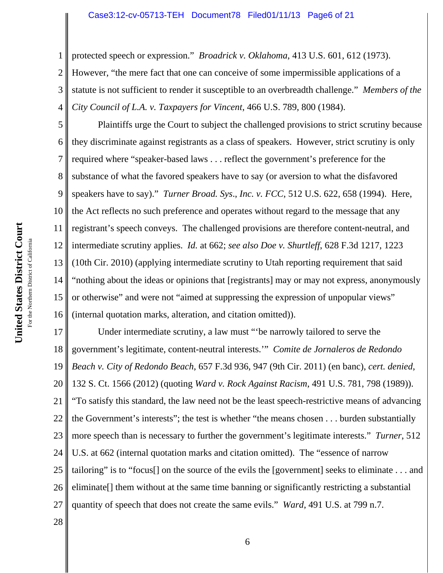#### Case3:12-cv-05713-TEH Document78 Filed01/11/13 Page6 of 21

protected speech or expression." *Broadrick v. Oklahoma*, 413 U.S. 601, 612 (1973).

However, "the mere fact that one can conceive of some impermissible applications of a statute is not sufficient to render it susceptible to an overbreadth challenge." *Members of the City Council of L.A. v. Taxpayers for Vincent*, 466 U.S. 789, 800 (1984).

5 6 7 8 9 10 11 12 13 14 15 16 Plaintiffs urge the Court to subject the challenged provisions to strict scrutiny because they discriminate against registrants as a class of speakers. However, strict scrutiny is only required where "speaker-based laws . . . reflect the government's preference for the substance of what the favored speakers have to say (or aversion to what the disfavored speakers have to say)." *Turner Broad. Sys*., *Inc. v. FCC*, 512 U.S. 622, 658 (1994). Here, the Act reflects no such preference and operates without regard to the message that any registrant's speech conveys. The challenged provisions are therefore content-neutral, and intermediate scrutiny applies. *Id.* at 662; *see also Doe v. Shurtleff*, 628 F.3d 1217, 1223 (10th Cir. 2010) (applying intermediate scrutiny to Utah reporting requirement that said "nothing about the ideas or opinions that [registrants] may or may not express, anonymously or otherwise" and were not "aimed at suppressing the expression of unpopular views" (internal quotation marks, alteration, and citation omitted)).

17 18 19 20 21 22 23 24 25 26 27 Under intermediate scrutiny, a law must "'be narrowly tailored to serve the government's legitimate, content-neutral interests.'" *Comite de Jornaleros de Redondo Beach v. City of Redondo Beach*, 657 F.3d 936, 947 (9th Cir. 2011) (en banc), *cert. denied*, 132 S. Ct. 1566 (2012) (quoting *Ward v. Rock Against Racism*, 491 U.S. 781, 798 (1989)). "To satisfy this standard, the law need not be the least speech-restrictive means of advancing the Government's interests"; the test is whether "the means chosen . . . burden substantially more speech than is necessary to further the government's legitimate interests." *Turner*, 512 U.S. at 662 (internal quotation marks and citation omitted). The "essence of narrow tailoring" is to "focus[] on the source of the evils the [government] seeks to eliminate . . . and eliminate[] them without at the same time banning or significantly restricting a substantial quantity of speech that does not create the same evils." *Ward*, 491 U.S. at 799 n.7.

28

1

2

3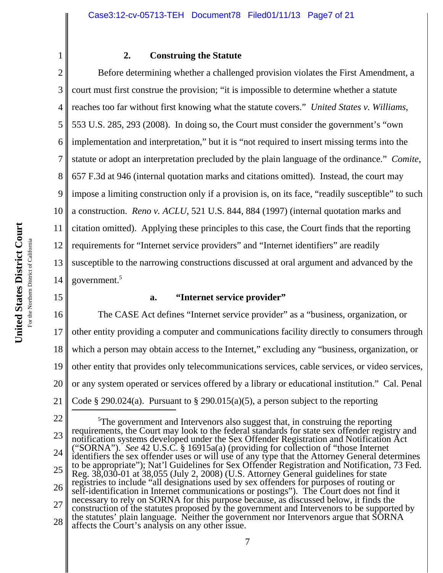#### **2. Construing the Statute**

2 3 4 5 6 7 8 9 10 11 12 13 14 Before determining whether a challenged provision violates the First Amendment, a court must first construe the provision; "it is impossible to determine whether a statute reaches too far without first knowing what the statute covers." *United States v. Williams*, 553 U.S. 285, 293 (2008). In doing so, the Court must consider the government's "own implementation and interpretation," but it is "not required to insert missing terms into the statute or adopt an interpretation precluded by the plain language of the ordinance." *Comite*, 657 F.3d at 946 (internal quotation marks and citations omitted). Instead, the court may impose a limiting construction only if a provision is, on its face, "readily susceptible" to such a construction. *Reno v. ACLU*, 521 U.S. 844, 884 (1997) (internal quotation marks and citation omitted). Applying these principles to this case, the Court finds that the reporting requirements for "Internet service providers" and "Internet identifiers" are readily susceptible to the narrowing constructions discussed at oral argument and advanced by the government.<sup>5</sup>

### **a. "Internet service provider"**

16 17 18 19 20 21 The CASE Act defines "Internet service provider" as a "business, organization, or other entity providing a computer and communications facility directly to consumers through which a person may obtain access to the Internet," excluding any "business, organization, or other entity that provides only telecommunications services, cable services, or video services, or any system operated or services offered by a library or educational institution." Cal. Penal Code § 290.024(a). Pursuant to § 290.015(a)(5), a person subject to the reporting

15

1

<sup>22</sup> 23 24 25 26 27 28 <sup>5</sup>The government and Intervenors also suggest that, in construing the reporting requirements, the Court may look to the federal standards for state sex offender registry and notification systems developed under the Sex Offender Registration and Notification Act ("SORNA"). *See* 42 U.S.C. § 16915a(a) (providing for collection of "those Internet identifiers the sex offender uses or will use of any type that the Attorney General determines to be appropriate"); Nat'l Guidelines for Sex Offender Registration and Notification, 73 Fed. Reg. 38,030-01 at 38,055 (July 2, 2008) (U.S. Attorney General guidelines for state registries to include "all designations used by sex offenders for purposes of routing or self-identification in Internet communications or postings"). The Court does not find it necessary to rely on SORNA for this purpose because, as discussed below, it finds the construction of the statutes proposed by the government and Intervenors to be supported by the statutes' plain language. Neither the government nor Intervenors argue that SORNA affects the Court's analysis on any other issue.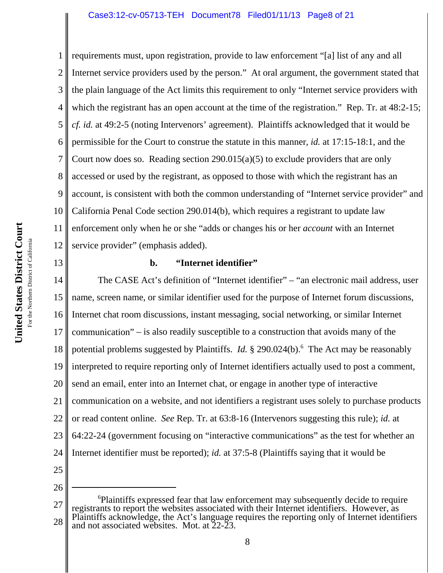#### Case3:12-cv-05713-TEH Document78 Filed01/11/13 Page8 of 21

1 2 3 4 5 6 7 8 9 10 11 12 requirements must, upon registration, provide to law enforcement "[a] list of any and all Internet service providers used by the person." At oral argument, the government stated that the plain language of the Act limits this requirement to only "Internet service providers with which the registrant has an open account at the time of the registration." Rep. Tr. at 48:2-15; *cf. id.* at 49:2-5 (noting Intervenors' agreement). Plaintiffs acknowledged that it would be permissible for the Court to construe the statute in this manner, *id.* at 17:15-18:1, and the Court now does so. Reading section  $290.015(a)(5)$  to exclude providers that are only accessed or used by the registrant, as opposed to those with which the registrant has an account, is consistent with both the common understanding of "Internet service provider" and California Penal Code section 290.014(b), which requires a registrant to update law enforcement only when he or she "adds or changes his or her *account* with an Internet service provider" (emphasis added).

13

### **b. "Internet identifier"**

14 15 16 17 18 19 20 21 22 23 24 The CASE Act's definition of "Internet identifier" – "an electronic mail address, user name, screen name, or similar identifier used for the purpose of Internet forum discussions, Internet chat room discussions, instant messaging, social networking, or similar Internet communication" – is also readily susceptible to a construction that avoids many of the potential problems suggested by Plaintiffs. *Id.* § 290.024(b).<sup>6</sup> The Act may be reasonably interpreted to require reporting only of Internet identifiers actually used to post a comment, send an email, enter into an Internet chat, or engage in another type of interactive communication on a website, and not identifiers a registrant uses solely to purchase products or read content online. *See* Rep. Tr. at 63:8-16 (Intervenors suggesting this rule); *id.* at 64:22-24 (government focusing on "interactive communications" as the test for whether an Internet identifier must be reported); *id.* at 37:5-8 (Plaintiffs saying that it would be

<sup>27</sup> 28 6 Plaintiffs expressed fear that law enforcement may subsequently decide to require registrants to report the websites associated with their Internet identifiers. However, as Plaintiffs acknowledge, the Act's language requires the reporting only of Internet identifiers and not associated websites. Mot. at 22-23.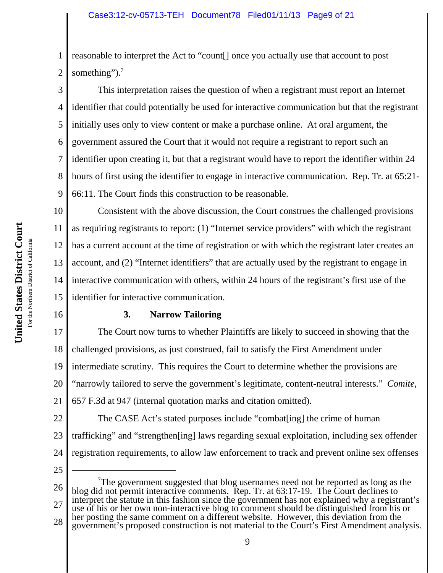1 2 reasonable to interpret the Act to "count[] once you actually use that account to post something"). $<sup>7</sup>$ </sup>

3 4 5 6 7 8 9 This interpretation raises the question of when a registrant must report an Internet identifier that could potentially be used for interactive communication but that the registrant initially uses only to view content or make a purchase online. At oral argument, the government assured the Court that it would not require a registrant to report such an identifier upon creating it, but that a registrant would have to report the identifier within 24 hours of first using the identifier to engage in interactive communication. Rep. Tr. at 65:21- 66:11. The Court finds this construction to be reasonable.

10 11 12 13 14 15 Consistent with the above discussion, the Court construes the challenged provisions as requiring registrants to report: (1) "Internet service providers" with which the registrant has a current account at the time of registration or with which the registrant later creates an account, and (2) "Internet identifiers" that are actually used by the registrant to engage in interactive communication with others, within 24 hours of the registrant's first use of the identifier for interactive communication.

16

### **3. Narrow Tailoring**

17 18 19 20 21 The Court now turns to whether Plaintiffs are likely to succeed in showing that the challenged provisions, as just construed, fail to satisfy the First Amendment under intermediate scrutiny. This requires the Court to determine whether the provisions are "narrowly tailored to serve the government's legitimate, content-neutral interests." *Comite*, 657 F.3d at 947 (internal quotation marks and citation omitted).

22 23 24 The CASE Act's stated purposes include "combat[ing] the crime of human trafficking" and "strengthen[ing] laws regarding sexual exploitation, including sex offender registration requirements, to allow law enforcement to track and prevent online sex offenses

25

26 27 28  $7$ The government suggested that blog usernames need not be reported as long as the blog did not permit interactive comments. Rep. Tr. at 63:17-19. The Court declines to interpret the statute in this fashion since the government has not explained why a registrant's use of his or her own non-interactive blog to comment should be distinguished from his or her posting the same comment on a different website. However, this deviation from the government's proposed construction is not material to the Court's First Amendment analysis.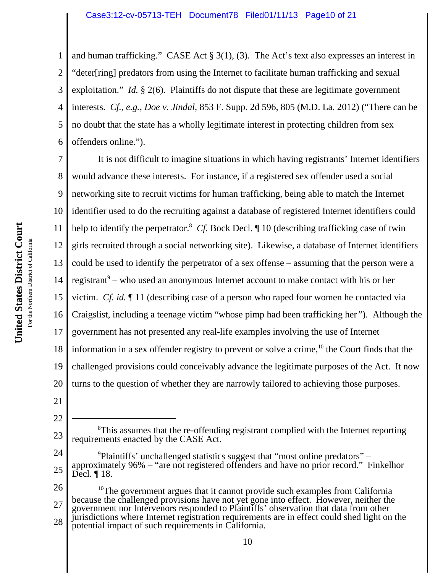1 2 3 4 5 6 and human trafficking." CASE Act § 3(1), (3). The Act's text also expresses an interest in "deter[ring] predators from using the Internet to facilitate human trafficking and sexual exploitation." *Id.* § 2(6). Plaintiffs do not dispute that these are legitimate government interests. *Cf.*, *e.g.*, *Doe v. Jindal*, 853 F. Supp. 2d 596, 805 (M.D. La. 2012) ("There can be no doubt that the state has a wholly legitimate interest in protecting children from sex offenders online.").

7 8 9 10 11 12 13 14 15 16 17 18 19 20 It is not difficult to imagine situations in which having registrants' Internet identifiers would advance these interests. For instance, if a registered sex offender used a social networking site to recruit victims for human trafficking, being able to match the Internet identifier used to do the recruiting against a database of registered Internet identifiers could help to identify the perpetrator.<sup>8</sup> *Cf.* Bock Decl. If 10 (describing trafficking case of twin girls recruited through a social networking site). Likewise, a database of Internet identifiers could be used to identify the perpetrator of a sex offense – assuming that the person were a registrant<sup>9</sup> – who used an anonymous Internet account to make contact with his or her victim. *Cf. id.* ¶ 11 (describing case of a person who raped four women he contacted via Craigslist, including a teenage victim "whose pimp had been trafficking her "). Although the government has not presented any real-life examples involving the use of Internet information in a sex offender registry to prevent or solve a crime,  $^{10}$  the Court finds that the challenged provisions could conceivably advance the legitimate purposes of the Act. It now turns to the question of whether they are narrowly tailored to achieving those purposes.

21 22

24 25 <sup>9</sup>Plaintiffs' unchallenged statistics suggest that "most online predators" – approximately 96% – "are not registered offenders and have no prior record." Finkelhor Decl. ¶ 18.

26 27 28  $10$ The government argues that it cannot provide such examples from California because the challenged provisions have not yet gone into effect. However, neither the government nor Intervenors responded to Plaintiffs' observation that data from other jurisdictions where Internet registration requirements are in effect could shed light on the potential impact of such requirements in California.

<sup>23</sup> <sup>8</sup>This assumes that the re-offending registrant complied with the Internet reporting requirements enacted by the CASE Act.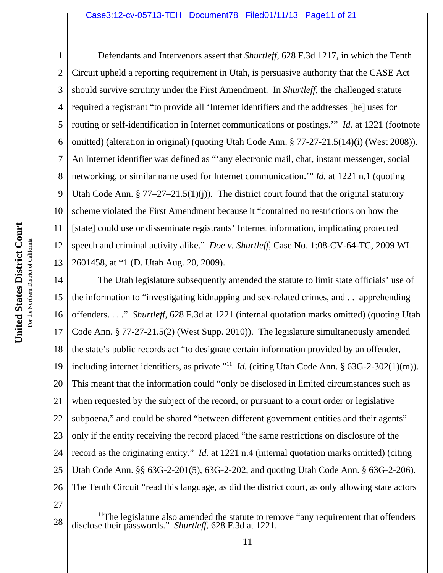United States District Court **United States District Court** For the Northern District of California For the Northern District of California

1 2 3 4 5 6 7 8 9 10 11 12 13 Defendants and Intervenors assert that *Shurtleff*, 628 F.3d 1217, in which the Tenth Circuit upheld a reporting requirement in Utah, is persuasive authority that the CASE Act should survive scrutiny under the First Amendment. In *Shurtleff*, the challenged statute required a registrant "to provide all 'Internet identifiers and the addresses [he] uses for routing or self-identification in Internet communications or postings.'" *Id.* at 1221 (footnote omitted) (alteration in original) (quoting Utah Code Ann. § 77-27-21.5(14)(i) (West 2008)). An Internet identifier was defined as "'any electronic mail, chat, instant messenger, social networking, or similar name used for Internet communication.'" *Id.* at 1221 n.1 (quoting Utah Code Ann.  $\S 77-27-21.5(1)(i)$ . The district court found that the original statutory scheme violated the First Amendment because it "contained no restrictions on how the [state] could use or disseminate registrants' Internet information, implicating protected speech and criminal activity alike." *Doe v. Shurtleff*, Case No. 1:08-CV-64-TC, 2009 WL 2601458, at \*1 (D. Utah Aug. 20, 2009).

14 15 16 17 18 19 20 21 22 23 24 25 26 The Utah legislature subsequently amended the statute to limit state officials' use of the information to "investigating kidnapping and sex-related crimes, and . . apprehending offenders. . . ." *Shurtleff*, 628 F.3d at 1221 (internal quotation marks omitted) (quoting Utah Code Ann. § 77-27-21.5(2) (West Supp. 2010)). The legislature simultaneously amended the state's public records act "to designate certain information provided by an offender, including internet identifiers, as private."<sup>11</sup> *Id.* (citing Utah Code Ann. § 63G-2-302(1)(m)). This meant that the information could "only be disclosed in limited circumstances such as when requested by the subject of the record, or pursuant to a court order or legislative subpoena," and could be shared "between different government entities and their agents" only if the entity receiving the record placed "the same restrictions on disclosure of the record as the originating entity." *Id.* at 1221 n.4 (internal quotation marks omitted) (citing Utah Code Ann. §§ 63G-2-201(5), 63G-2-202, and quoting Utah Code Ann. § 63G-2-206). The Tenth Circuit "read this language, as did the district court, as only allowing state actors

<sup>28</sup> <sup>11</sup>The legislature also amended the statute to remove "any requirement that offenders disclose their passwords." *Shurtleff*, 628 F.3d at 1221.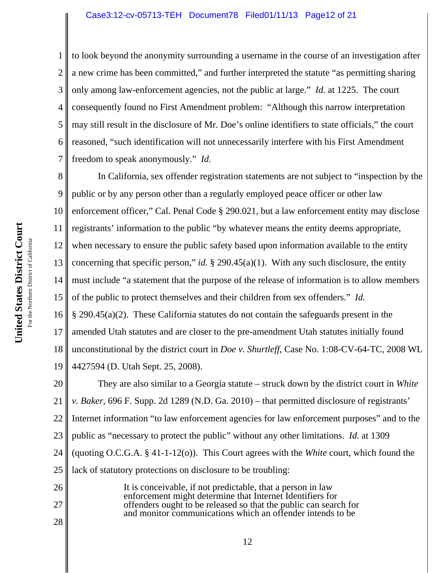#### Case3:12-cv-05713-TEH Document78 Filed01/11/13 Page12 of 21

6 to look beyond the anonymity surrounding a username in the course of an investigation after a new crime has been committed," and further interpreted the statute "as permitting sharing only among law-enforcement agencies, not the public at large." *Id.* at 1225. The court consequently found no First Amendment problem: "Although this narrow interpretation may still result in the disclosure of Mr. Doe's online identifiers to state officials," the court reasoned, "such identification will not unnecessarily interfere with his First Amendment freedom to speak anonymously." *Id.*

8 9 10 11 12 13 14 15 16 17 18 19 In California, sex offender registration statements are not subject to "inspection by the public or by any person other than a regularly employed peace officer or other law enforcement officer," Cal. Penal Code § 290.021, but a law enforcement entity may disclose registrants' information to the public "by whatever means the entity deems appropriate, when necessary to ensure the public safety based upon information available to the entity concerning that specific person," *id.* § 290.45(a)(1). With any such disclosure, the entity must include "a statement that the purpose of the release of information is to allow members of the public to protect themselves and their children from sex offenders." *Id.* § 290.45(a)(2). These California statutes do not contain the safeguards present in the amended Utah statutes and are closer to the pre-amendment Utah statutes initially found unconstitutional by the district court in *Doe v. Shurtleff*, Case No. 1:08-CV-64-TC, 2008 WL 4427594 (D. Utah Sept. 25, 2008).

20 21 22 23 24 25 They are also similar to a Georgia statute – struck down by the district court in *White v. Baker*, 696 F. Supp. 2d 1289 (N.D. Ga. 2010) – that permitted disclosure of registrants' Internet information "to law enforcement agencies for law enforcement purposes" and to the public as "necessary to protect the public" without any other limitations. *Id.* at 1309 (quoting O.C.G.A. § 41-1-12(o)). This Court agrees with the *White* court, which found the lack of statutory protections on disclosure to be troubling:

It is conceivable, if not predictable, that a person in law enforcement might determine that Internet Identifiers for offenders ought to be released so that the public can search for and monitor communications which an offender intends to be

1

2

3

4

5

7

26

27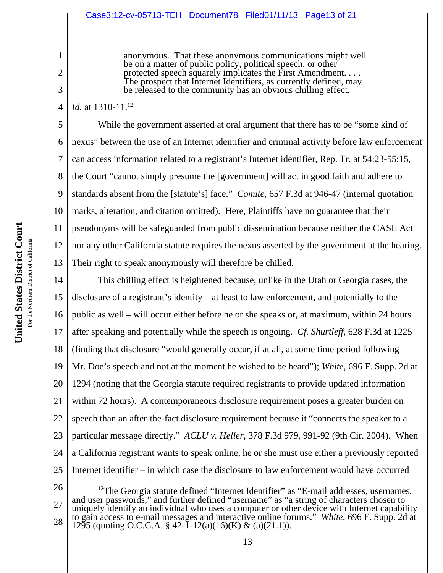anonymous. That these anonymous communications might well be on a matter of public policy, political speech, or other protected speech squarely implicates the First Amendment. . . . The prospect that Internet Identifiers, as currently defined, may be released to the community has an obvious chilling effect.

4 *Id.* at 1310-11.<sup>12</sup>

1

2

3

5 6 7 8 9 10 11 12 13 While the government asserted at oral argument that there has to be "some kind of nexus" between the use of an Internet identifier and criminal activity before law enforcement can access information related to a registrant's Internet identifier, Rep. Tr. at 54:23-55:15, the Court "cannot simply presume the [government] will act in good faith and adhere to standards absent from the [statute's] face." *Comite*, 657 F.3d at 946-47 (internal quotation marks, alteration, and citation omitted). Here, Plaintiffs have no guarantee that their pseudonyms will be safeguarded from public dissemination because neither the CASE Act nor any other California statute requires the nexus asserted by the government at the hearing. Their right to speak anonymously will therefore be chilled.

14 15 16 17 18 19 20 21 22 23 24 25 This chilling effect is heightened because, unlike in the Utah or Georgia cases, the disclosure of a registrant's identity – at least to law enforcement, and potentially to the public as well – will occur either before he or she speaks or, at maximum, within 24 hours after speaking and potentially while the speech is ongoing. *Cf. Shurtleff*, 628 F.3d at 1225 (finding that disclosure "would generally occur, if at all, at some time period following Mr. Doe's speech and not at the moment he wished to be heard"); *White*, 696 F. Supp. 2d at 1294 (noting that the Georgia statute required registrants to provide updated information within 72 hours). A contemporaneous disclosure requirement poses a greater burden on speech than an after-the-fact disclosure requirement because it "connects the speaker to a particular message directly." *ACLU v. Heller*, 378 F.3d 979, 991-92 (9th Cir. 2004). When a California registrant wants to speak online, he or she must use either a previously reported Internet identifier – in which case the disclosure to law enforcement would have occurred

26

27 28 <sup>12</sup>The Georgia statute defined "Internet Identifier" as "E-mail addresses, usernames, and user passwords," and further defined "username" as "a string of characters chosen to uniquely identify an individual who uses a computer or other device with Internet capability to gain access to e-mail messages and interactive online forums." *White*, 696 F. Supp. 2d at 1295 (quoting O.C.G.A. § 42-1-12(a)(16)(K) & (a)(21.1)).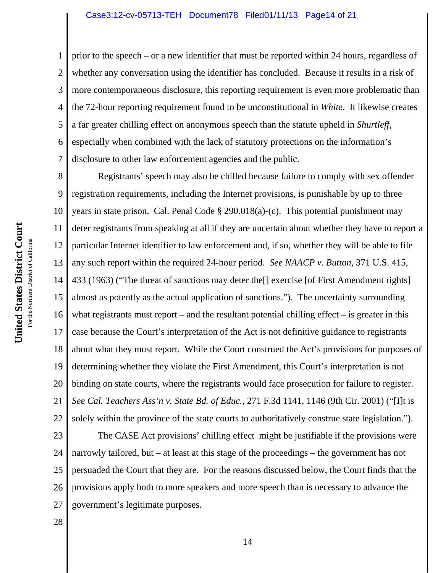2 3 4 5 6 7 prior to the speech – or a new identifier that must be reported within 24 hours, regardless of whether any conversation using the identifier has concluded. Because it results in a risk of more contemporaneous disclosure, this reporting requirement is even more problematic than the 72-hour reporting requirement found to be unconstitutional in *White*. It likewise creates a far greater chilling effect on anonymous speech than the statute upheld in *Shurtleff*, especially when combined with the lack of statutory protections on the information's disclosure to other law enforcement agencies and the public.

8 9 10 11 12 13 14 15 16 17 18 19 20 21 22 Registrants' speech may also be chilled because failure to comply with sex offender registration requirements, including the Internet provisions, is punishable by up to three years in state prison. Cal. Penal Code § 290.018(a)-(c). This potential punishment may deter registrants from speaking at all if they are uncertain about whether they have to report a particular Internet identifier to law enforcement and, if so, whether they will be able to file any such report within the required 24-hour period. *See NAACP v. Button*, 371 U.S. 415, 433 (1963) ("The threat of sanctions may deter the[] exercise [of First Amendment rights] almost as potently as the actual application of sanctions."). The uncertainty surrounding what registrants must report – and the resultant potential chilling effect – is greater in this case because the Court's interpretation of the Act is not definitive guidance to registrants about what they must report. While the Court construed the Act's provisions for purposes of determining whether they violate the First Amendment, this Court's interpretation is not binding on state courts, where the registrants would face prosecution for failure to register. *See Cal. Teachers Ass'n v. State Bd. of Educ.*, 271 F.3d 1141, 1146 (9th Cir. 2001) ("[I]t is solely within the province of the state courts to authoritatively construe state legislation.").

23 24 25 26 27 The CASE Act provisions' chilling effect might be justifiable if the provisions were narrowly tailored, but – at least at this stage of the proceedings – the government has not persuaded the Court that they are. For the reasons discussed below, the Court finds that the provisions apply both to more speakers and more speech than is necessary to advance the government's legitimate purposes.

28

1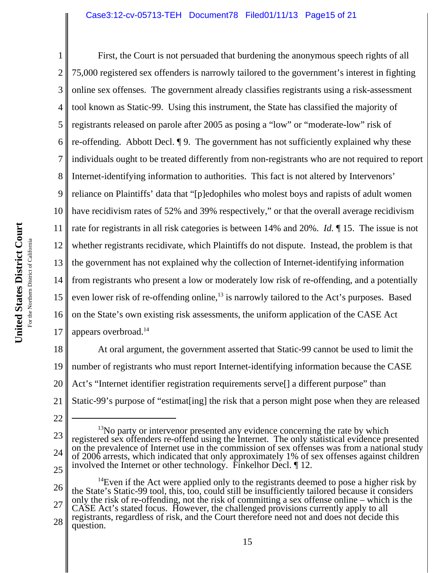#### Case3:12-cv-05713-TEH Document78 Filed01/11/13 Page15 of 21

United States District Court **United States District Court** For the Northern District of California For the Northern District of California

1 2 3 4 5 6 7 8 9 10 11 12 13 14 15 16 17 First, the Court is not persuaded that burdening the anonymous speech rights of all 75,000 registered sex offenders is narrowly tailored to the government's interest in fighting online sex offenses. The government already classifies registrants using a risk-assessment tool known as Static-99. Using this instrument, the State has classified the majority of registrants released on parole after 2005 as posing a "low" or "moderate-low" risk of re-offending. Abbott Decl. ¶ 9. The government has not sufficiently explained why these individuals ought to be treated differently from non-registrants who are not required to report Internet-identifying information to authorities. This fact is not altered by Intervenors' reliance on Plaintiffs' data that "[p]edophiles who molest boys and rapists of adult women have recidivism rates of 52% and 39% respectively," or that the overall average recidivism rate for registrants in all risk categories is between 14% and 20%. *Id.* ¶ 15. The issue is not whether registrants recidivate, which Plaintiffs do not dispute. Instead, the problem is that the government has not explained why the collection of Internet-identifying information from registrants who present a low or moderately low risk of re-offending, and a potentially even lower risk of re-offending online, $13$  is narrowly tailored to the Act's purposes. Based on the State's own existing risk assessments, the uniform application of the CASE Act appears overbroad.<sup>14</sup>

18 19 20 21 At oral argument, the government asserted that Static-99 cannot be used to limit the number of registrants who must report Internet-identifying information because the CASE Act's "Internet identifier registration requirements serve<sup>[]</sup> a different purpose" than Static-99's purpose of "estimat[ing] the risk that a person might pose when they are released

<sup>22</sup>

<sup>23</sup> 24 25  $13$ No party or intervenor presented any evidence concerning the rate by which registered sex offenders re-offend using the Internet. The only statistical evidence presented on the prevalence of Internet use in the commission of sex offenses was from a national study of 2006 arrests, which indicated that only approximately 1% of sex offenses against children involved the Internet or other technology. Finkelhor Decl. ¶ 12.

<sup>26</sup> 27 28 <sup>14</sup>Even if the Act were applied only to the registrants deemed to pose a higher risk by the State's Static-99 tool, this, too, could still be insufficiently tailored because it considers only the risk of re-offending, not the risk of committing a sex offense online – which is the CASE Act's stated focus. However, the challenged provisions currently apply to all registrants, regardless of risk, and the Court therefore need not and does not decide this question.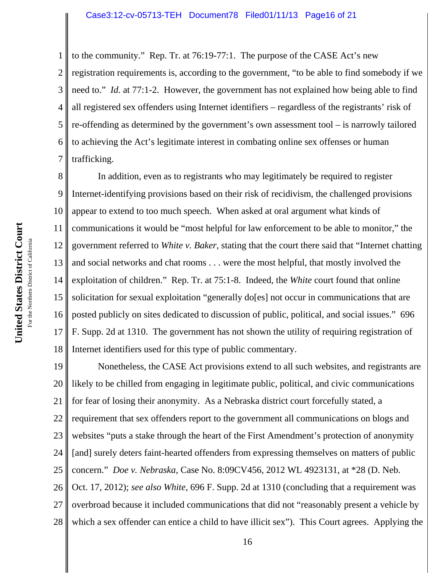to the community." Rep. Tr. at 76:19-77:1. The purpose of the CASE Act's new

2 3 4 5 6 7 registration requirements is, according to the government, "to be able to find somebody if we need to." *Id.* at 77:1-2. However, the government has not explained how being able to find all registered sex offenders using Internet identifiers – regardless of the registrants' risk of re-offending as determined by the government's own assessment tool – is narrowly tailored to achieving the Act's legitimate interest in combating online sex offenses or human trafficking.

8 9 10 11 12 13 14 15 16 17 18 In addition, even as to registrants who may legitimately be required to register Internet-identifying provisions based on their risk of recidivism, the challenged provisions appear to extend to too much speech. When asked at oral argument what kinds of communications it would be "most helpful for law enforcement to be able to monitor," the government referred to *White v. Baker*, stating that the court there said that "Internet chatting and social networks and chat rooms . . . were the most helpful, that mostly involved the exploitation of children." Rep. Tr. at 75:1-8. Indeed, the *White* court found that online solicitation for sexual exploitation "generally do[es] not occur in communications that are posted publicly on sites dedicated to discussion of public, political, and social issues." 696 F. Supp. 2d at 1310. The government has not shown the utility of requiring registration of Internet identifiers used for this type of public commentary.

19 20 21 22 23 24 25 26 27 Nonetheless, the CASE Act provisions extend to all such websites, and registrants are likely to be chilled from engaging in legitimate public, political, and civic communications for fear of losing their anonymity. As a Nebraska district court forcefully stated, a requirement that sex offenders report to the government all communications on blogs and websites "puts a stake through the heart of the First Amendment's protection of anonymity [and] surely deters faint-hearted offenders from expressing themselves on matters of public concern." *Doe v. Nebraska*, Case No. 8:09CV456, 2012 WL 4923131, at \*28 (D. Neb. Oct. 17, 2012); *see also White*, 696 F. Supp. 2d at 1310 (concluding that a requirement was overbroad because it included communications that did not "reasonably present a vehicle by

28

1

16

which a sex offender can entice a child to have illicit sex"). This Court agrees. Applying the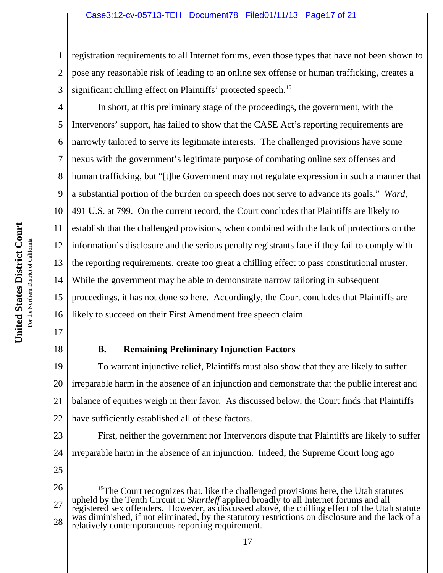## Case3:12-cv-05713-TEH Document78 Filed01/11/13 Page17 of 21

1 2 3 registration requirements to all Internet forums, even those types that have not been shown to pose any reasonable risk of leading to an online sex offense or human trafficking, creates a significant chilling effect on Plaintiffs' protected speech.<sup>15</sup>

4 5 6 7 8 9 10 11 12 13 14 15 16 In short, at this preliminary stage of the proceedings, the government, with the Intervenors' support, has failed to show that the CASE Act's reporting requirements are narrowly tailored to serve its legitimate interests. The challenged provisions have some nexus with the government's legitimate purpose of combating online sex offenses and human trafficking, but "[t]he Government may not regulate expression in such a manner that a substantial portion of the burden on speech does not serve to advance its goals." *Ward*, 491 U.S. at 799. On the current record, the Court concludes that Plaintiffs are likely to establish that the challenged provisions, when combined with the lack of protections on the information's disclosure and the serious penalty registrants face if they fail to comply with the reporting requirements, create too great a chilling effect to pass constitutional muster. While the government may be able to demonstrate narrow tailoring in subsequent proceedings, it has not done so here. Accordingly, the Court concludes that Plaintiffs are likely to succeed on their First Amendment free speech claim.

- 17
- 18

## **B. Remaining Preliminary Injunction Factors**

19 20 21 22 To warrant injunctive relief, Plaintiffs must also show that they are likely to suffer irreparable harm in the absence of an injunction and demonstrate that the public interest and balance of equities weigh in their favor. As discussed below, the Court finds that Plaintiffs have sufficiently established all of these factors.

- 23 24 First, neither the government nor Intervenors dispute that Plaintiffs are likely to suffer irreparable harm in the absence of an injunction. Indeed, the Supreme Court long ago
- 25

relatively contemporaneous reporting requirement.

<sup>26</sup> 27 28  $15$ The Court recognizes that, like the challenged provisions here, the Utah statutes upheld by the Tenth Circuit in *Shurtleff* applied broadly to all Internet forums and all registered sex offenders. However, as discussed above, the chilling effect of the Utah statute was diminished, if not eliminated, by the statutory restrictions on disclosure and the lack of a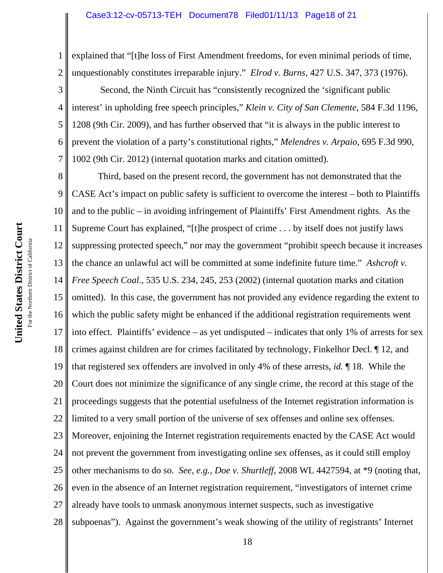1 2 explained that "[t]he loss of First Amendment freedoms, for even minimal periods of time, unquestionably constitutes irreparable injury." *Elrod v. Burns*, 427 U.S. 347, 373 (1976).

3 4 6 7 Second, the Ninth Circuit has "consistently recognized the 'significant public interest' in upholding free speech principles," *Klein v. City of San Clemente*, 584 F.3d 1196, 1208 (9th Cir. 2009), and has further observed that "it is always in the public interest to prevent the violation of a party's constitutional rights," *Melendres v. Arpaio*, 695 F.3d 990, 1002 (9th Cir. 2012) (internal quotation marks and citation omitted).

8 9 10 11 12 13 14 15 16 17 18 19 20 21 22 23 24 25 26 27 28 Third, based on the present record, the government has not demonstrated that the CASE Act's impact on public safety is sufficient to overcome the interest – both to Plaintiffs and to the public – in avoiding infringement of Plaintiffs' First Amendment rights. As the Supreme Court has explained, "[t]he prospect of crime . . . by itself does not justify laws suppressing protected speech," nor may the government "prohibit speech because it increases the chance an unlawful act will be committed at some indefinite future time." *Ashcroft v. Free Speech Coal.*, 535 U.S. 234, 245, 253 (2002) (internal quotation marks and citation omitted). In this case, the government has not provided any evidence regarding the extent to which the public safety might be enhanced if the additional registration requirements went into effect. Plaintiffs' evidence – as yet undisputed – indicates that only 1% of arrests for sex crimes against children are for crimes facilitated by technology, Finkelhor Decl. ¶ 12, and that registered sex offenders are involved in only 4% of these arrests, *id.* ¶ 18. While the Court does not minimize the significance of any single crime, the record at this stage of the proceedings suggests that the potential usefulness of the Internet registration information is limited to a very small portion of the universe of sex offenses and online sex offenses. Moreover, enjoining the Internet registration requirements enacted by the CASE Act would not prevent the government from investigating online sex offenses, as it could still employ other mechanisms to do so. *See, e.g., Doe v. Shurtleff*, 2008 WL 4427594, at \*9 (noting that, even in the absence of an Internet registration requirement, "investigators of internet crime already have tools to unmask anonymous internet suspects, such as investigative subpoenas"). Against the government's weak showing of the utility of registrants' Internet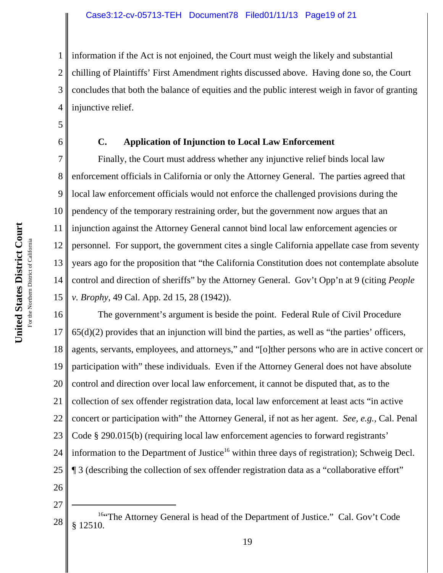1 2 3 4 information if the Act is not enjoined, the Court must weigh the likely and substantial chilling of Plaintiffs' First Amendment rights discussed above. Having done so, the Court concludes that both the balance of equities and the public interest weigh in favor of granting injunctive relief.

5 6

## **C. Application of Injunction to Local Law Enforcement**

7 8 9 10 11 12 13 14 15 Finally, the Court must address whether any injunctive relief binds local law enforcement officials in California or only the Attorney General. The parties agreed that local law enforcement officials would not enforce the challenged provisions during the pendency of the temporary restraining order, but the government now argues that an injunction against the Attorney General cannot bind local law enforcement agencies or personnel. For support, the government cites a single California appellate case from seventy years ago for the proposition that "the California Constitution does not contemplate absolute control and direction of sheriffs" by the Attorney General. Gov't Opp'n at 9 (citing *People v. Brophy*, 49 Cal. App. 2d 15, 28 (1942)).

16 17 18 19 20 21 22 23 24 25 The government's argument is beside the point. Federal Rule of Civil Procedure  $65(d)(2)$  provides that an injunction will bind the parties, as well as "the parties" officers, agents, servants, employees, and attorneys," and "[o]ther persons who are in active concert or participation with" these individuals. Even if the Attorney General does not have absolute control and direction over local law enforcement, it cannot be disputed that, as to the collection of sex offender registration data, local law enforcement at least acts "in active concert or participation with" the Attorney General, if not as her agent. *See, e.g.,* Cal. Penal Code § 290.015(b) (requiring local law enforcement agencies to forward registrants' information to the Department of Justice<sup>16</sup> within three days of registration); Schweig Decl. ¶ 3 (describing the collection of sex offender registration data as a "collaborative effort"

- 26
- 27

<sup>28</sup> <sup>16"</sup>The Attorney General is head of the Department of Justice." Cal. Gov't Code § 12510.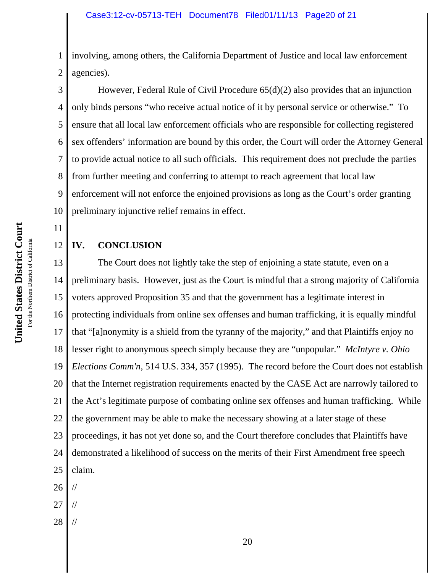1 2 involving, among others, the California Department of Justice and local law enforcement agencies).

3 4 5 6 7 8 9 10 However, Federal Rule of Civil Procedure 65(d)(2) also provides that an injunction only binds persons "who receive actual notice of it by personal service or otherwise." To ensure that all local law enforcement officials who are responsible for collecting registered sex offenders' information are bound by this order, the Court will order the Attorney General to provide actual notice to all such officials. This requirement does not preclude the parties from further meeting and conferring to attempt to reach agreement that local law enforcement will not enforce the enjoined provisions as long as the Court's order granting preliminary injunctive relief remains in effect.

11

12

## **IV. CONCLUSION**

13 14 15 16 17 18 19 20 21 22 23 24 25 The Court does not lightly take the step of enjoining a state statute, even on a preliminary basis. However, just as the Court is mindful that a strong majority of California voters approved Proposition 35 and that the government has a legitimate interest in protecting individuals from online sex offenses and human trafficking, it is equally mindful that "[a]nonymity is a shield from the tyranny of the majority," and that Plaintiffs enjoy no lesser right to anonymous speech simply because they are "unpopular." *McIntyre v. Ohio Elections Comm'n*, 514 U.S. 334, 357 (1995). The record before the Court does not establish that the Internet registration requirements enacted by the CASE Act are narrowly tailored to the Act's legitimate purpose of combating online sex offenses and human trafficking. While the government may be able to make the necessary showing at a later stage of these proceedings, it has not yet done so, and the Court therefore concludes that Plaintiffs have demonstrated a likelihood of success on the merits of their First Amendment free speech claim.

- 26 //
- 27 //
- 28 //